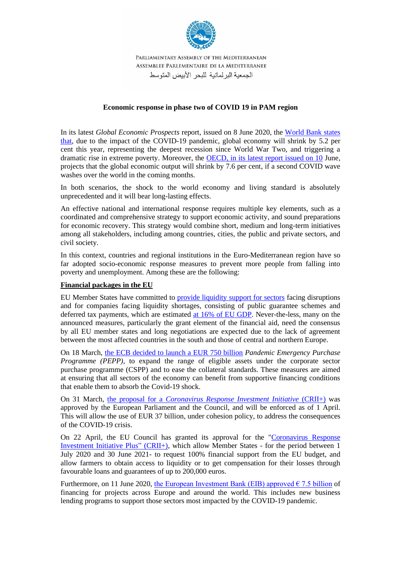

# **Economic response in phase two of COVID 19 in PAM region**

In its latest *Global Economic Prospects* report, issued on 8 June 2020, the [World Bank states](https://news.un.org/en/story/2020/06/1065902) [that,](https://news.un.org/en/story/2020/06/1065902) due to the impact of the COVID-19 pandemic, global economy will shrink by 5.2 per cent this year, representing the deepest recession since World War Two, and triggering a dramatic rise in extreme poverty. Moreover, the OECD, [in its latest report issued on 10](https://www.euronews.com/2020/06/10/covid-19-economic-impact-will-be-unprecedented-and-long-lasting-oecd-warns) June, projects that the global economic output will shrink by 7.6 per cent, if a second COVID wave washes over the world in the coming months.

In both scenarios, the shock to the world economy and living standard is absolutely unprecedented and it will bear long-lasting effects.

An effective national and international response requires multiple key elements, such as a coordinated and comprehensive strategy to support economic activity, and sound preparations for economic recovery. This strategy would combine short, medium and long-term initiatives among all stakeholders, including among countries, cities, the public and private sectors, and civil society.

In this context, countries and regional institutions in the Euro-Mediterranean region have so far adopted socio-economic response measures to prevent more people from falling into poverty and unemployment. Among these are the following:

## **Financial packages in the EU**

EU Member States have committed to [provide liquidity support for sectors](https://www.consilium.europa.eu/en/press/press-releases/2020/04/09/report-on-the-comprehensive-economic-policy-response-to-the-covid-19-pandemic/) facing disruptions and for companies facing liquidity shortages, consisting of public guarantee schemes and deferred tax payments, which are estimated [at 16% of EU GDP.](https://www.consilium.europa.eu/en/press/press-releases/2020/04/09/report-on-the-comprehensive-economic-policy-response-to-the-covid-19-pandemic/) Never-the-less, many on the announced measures, particularly the grant element of the financial aid, need the consensus by all EU member states and long negotiations are expected due to the lack of agreement between the most affected countries in the south and those of central and northern Europe.

On 18 March, the ECB decided to launch a EUR 750 billion *Pandemic Emergency Purchase Programme (PEPP)*, to expand the range of eligible assets under the corporate sector purchase programme (CSPP) and to ease the collateral standards. These measures are aimed at ensuring that all sectors of the economy can benefit from supportive financing conditions that enable them to absorb the Covid-19 shock.

On 31 March, the proposal for a *[Coronavirus Response Investment Initiative](https://eulawlive.com/coronavirus-response-investment-initiative-regulation-now-published-and-will-enter-into-force-on-1-april-2020/)* (CRII+) was approved by the European Parliament and the Council, and will be enforced as of 1 April. This will allow the use of EUR 37 billion, under cohesion policy, to address the consequences of the COVID-19 crisis.

On 22 April, the EU Council has granted its approval for the ["Coronavirus Response](https://eulawlive.com/coronavirus-response-investment-initiative-plus-adopted/)  [Investment Initiative Plus"](https://eulawlive.com/coronavirus-response-investment-initiative-plus-adopted/) (CRII+), which allow Member States - for the period between 1 July 2020 and 30 June 2021- to request 100% financial support from the EU budget, and allow farmers to obtain access to liquidity or to get compensation for their losses through favourable loans and guarantees of up to 200,000 euros.

Furthermore, on 11 June 2020, the European Investment Bank (EIB) approved  $\epsilon$  7.5 billion of financing for projects across Europe and around the world. This includes new business lending programs to support those sectors most impacted by the COVID-19 pandemic.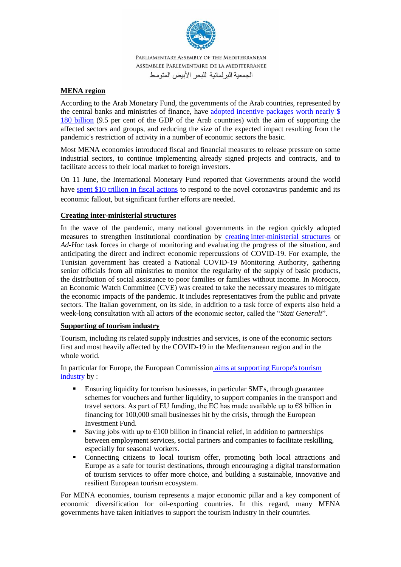

# **MENA region**

According to the Arab Monetary Fund, the governments of the Arab countries, represented by the central banks and ministries of finance, have [adopted incentive packages worth nearly \\$](https://www.amf.org.ae/ar/content/%D8%B5%D9%86%D8%AF%D9%88%D9%82-%D8%A7%D9%84%D9%86%D9%82%D8%AF-%D8%A7%D9%84%D8%B9%D8%B1%D8%A8%D9%8A-%D9%8A%D9%8F%D8%B7%D9%84%D9%82-%D8%A5%D8%B5%D8%AF%D8%A7%D8%B1-%D8%A7%D8%A8%D8%B1%D9%8A%D9%84-%D9%85%D9%86-%D8%AA%D9%82%D8%B1%D9%8A%D8%B1-%D8%A2%D9%81%D8%A7%D9%82-%D8%A7%D9%84%D8%A7%D9%82%D8%AA%D8%B5%D8%A7%D8%AF-%D8%A7%D9%84%D8%B9%D8%B1%D8%A8%D9%8A)  [180 billion](https://www.amf.org.ae/ar/content/%D8%B5%D9%86%D8%AF%D9%88%D9%82-%D8%A7%D9%84%D9%86%D9%82%D8%AF-%D8%A7%D9%84%D8%B9%D8%B1%D8%A8%D9%8A-%D9%8A%D9%8F%D8%B7%D9%84%D9%82-%D8%A5%D8%B5%D8%AF%D8%A7%D8%B1-%D8%A7%D8%A8%D8%B1%D9%8A%D9%84-%D9%85%D9%86-%D8%AA%D9%82%D8%B1%D9%8A%D8%B1-%D8%A2%D9%81%D8%A7%D9%82-%D8%A7%D9%84%D8%A7%D9%82%D8%AA%D8%B5%D8%A7%D8%AF-%D8%A7%D9%84%D8%B9%D8%B1%D8%A8%D9%8A) (9.5 per cent of the GDP of the Arab countries) with the aim of supporting the affected sectors and groups, and reducing the size of the expected impact resulting from the pandemic's restriction of activity in a number of economic sectors the basic.

Most MENA economies introduced fiscal and financial measures to release pressure on some industrial sectors, to continue implementing already signed projects and contracts, and to facilitate access to their local market to foreign investors.

On 11 June, the International Monetary Fund reported that Governments around the world have [spent \\$10 trillion in fiscal actions](https://www.aljazeera.com/ajimpact/imf-10-trillion-spent-combat-pandemic-needed-200611185817216.html) to respond to the novel coronavirus pandemic and its economic fallout, but significant further efforts are needed.

## **Creating inter-ministerial structures**

In the wave of the pandemic, many national governments in the region quickly adopted measures to strengthen institutional coordination by creating [inter-ministerial structures](http://www.oecd.org/coronavirus/policy-responses/covid-19-crisis-response-in-mena-countries-4b366396/) or *Ad-Hoc* task forces in charge of monitoring and evaluating the progress of the situation, and anticipating the direct and indirect economic repercussions of COVID-19. For example, the Tunisian government has created a National COVID-19 Monitoring Authority, gathering senior officials from all ministries to monitor the regularity of the supply of basic products, the distribution of social assistance to poor families or families without income. In Morocco, an Economic Watch Committee (CVE) was created to take the necessary measures to mitigate the economic impacts of the pandemic. It includes representatives from the public and private sectors. The Italian government, on its side, in addition to a task force of experts also held a week-long consultation with all actors of the economic sector, called the "*Stati Generali*".

# **Supporting of tourism industry**

Tourism, including its related supply industries and services, is one of the economic sectors first and most heavily affected by the COVID-19 in the Mediterranean region and in the whole world.

In particular for Europe, the European Commission [aims at supporting Europe's tourism](https://ec.europa.eu/commission/presscorner/detail/en/ip_20_854)  [industry](https://ec.europa.eu/commission/presscorner/detail/en/ip_20_854) by :

- Ensuring liquidity for tourism businesses, in particular SMEs, through guarantee schemes for vouchers and further liquidity, to support companies in the transport and travel sectors. As part of EU funding, the EC has made available up to  $\epsilon$ 8 billion in financing for 100,000 small businesses hit by the crisis, through the European Investment Fund.
- **Example 1** Saving jobs with up to  $\epsilon$ 100 billion in financial relief, in addition to partnerships between employment services, social partners and companies to facilitate reskilling, especially for seasonal workers.
- Connecting citizens to local tourism offer, promoting both local attractions and Europe as a safe for tourist destinations, through encouraging a digital transformation of tourism services to offer more choice, and building a sustainable, innovative and resilient European tourism ecosystem.

For MENA economies, tourism represents a major economic pillar and a key component of economic diversification for oil-exporting countries. In this regard, many MENA governments have taken initiatives to support the tourism industry in their countries.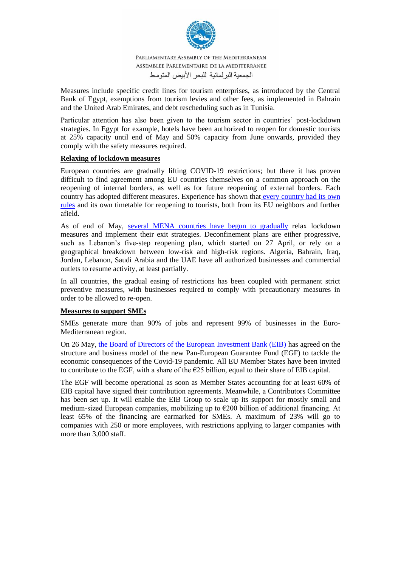

Measures include specific credit lines for tourism enterprises, as introduced by the Central Bank of Egypt, exemptions from tourism levies and other fees, as implemented in Bahrain and the United Arab Emirates, and debt rescheduling such as in Tunisia .

Particular attention has also been given to the tourism sector in countries' post-lockdown strategies. In Egypt for example, hotels have been authorized to reopen for domestic tourists at 25% capacity until end of May and 50% capacity from June onwards, provided they comply with the safety measures required.

## **Relaxing of lockdown measures**

European countries are gradually lifting COVID-19 restrictions; but there it has proven difficult to find agreement among EU countries themselves on a common approach on the reopening of internal borders, as well as for future reopening of external borders. Each country has adopted different measures. Experience has shown that every country had its own rules and its own timetable for reopening to tourists, both from its EU neighbors and further afield.

As of end of May, [several MENA countries have begun to gradually](http://www.oecd.org/coronavirus/policy-responses/covid-19-crisis-response-in-mena-countries-4b366396/) relax lockdown measures and implement their exit strategies. Deconfinement plans are either progressive, such as Lebanon's five-step reopening plan, which started on 27 April, or rely on a geographical breakdown between low-risk and high-risk regions. Algeria, Bahrain, Iraq, Jordan, Lebanon, Saudi Arabia and the UAE have all authorized businesses and commercial outlets to resume activity, at least partially.

In all countries, the gradual easing of restrictions has been coupled with permanent strict preventive measures, with businesses required to comply with precautionary measures in order to be allowed to re-open.

## **Measures to support SMEs**

SMEs generate more than 90% of jobs and represent 99% of businesses in the Euro-Mediterranean region.

On 26 May, [the Board of Directors of the European Investment Bank \(EIB\)](https://www.eib.org/en/press/all/2020-126-eib-board-approves-eur-25-billion-pan-european-guarantee-fund-to-respond-to-covid-19-crisis) has agreed on the structure and business model of the new Pan-European Guarantee Fund (EGF) to tackle the economic consequences of the Covid-19 pandemic. All EU Member States have been invited to contribute to the EGF, with a share of the  $E25$  billion, equal to their share of EIB capital.

The EGF will become operational as soon as Member States accounting for at least 60% of EIB capital have signed their contribution agreements. Meanwhile, a Contributors Committee has been set up. It will enable the EIB Group to scale up its support for mostly small and medium-sized European companies, mobilizing up to  $\epsilon$ 200 billion of additional financing. At least 65% of the financing are earmarked for SMEs. A maximum of 23% will go to companies with 250 or more employees, with restrictions applying to larger companies with more than 3,000 staff.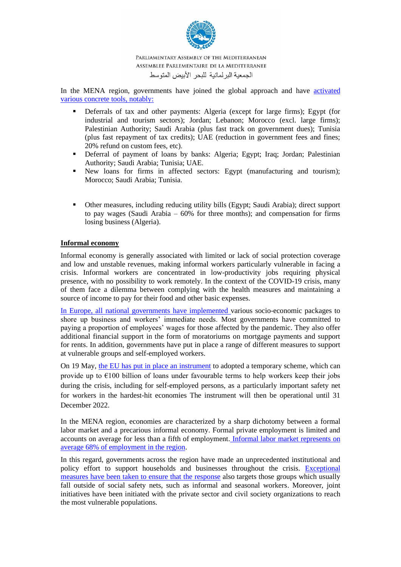

In the MENA region, governments have joined the global approach and have activated [various concrete tools, notably:](http://www.oecd.org/coronavirus/policy-responses/covid-19-crisis-response-in-mena-countries-4b366396/)

- Deferrals of tax and other payments: Algeria (except for large firms); Egypt (for industrial and tourism sectors); Jordan; Lebanon; Morocco (excl. large firms); Palestinian Authority; Saudi Arabia (plus fast track on government dues); Tunisia (plus fast repayment of tax credits); UAE (reduction in government fees and fines; 20% refund on custom fees, etc).
- Deferral of payment of loans by banks: Algeria; Egypt; Iraq; Jordan; Palestinian Authority; Saudi Arabia; Tunisia; UAE.
- New loans for firms in affected sectors: Egypt (manufacturing and tourism); Morocco; Saudi Arabia; Tunisia .
- Other measures, including reducing utility bills (Egypt; Saudi Arabia); direct support to pay wages (Saudi Arabia  $-60\%$  for three months); and compensation for firms losing business (Algeria).

## **Informal economy**

Informal economy is generally associated with limited or lack of social protection coverage and low and unstable revenues, making informal workers particularly vulnerable in facing a crisis. Informal workers are concentrated in low-productivity jobs requiring physical presence, with no possibility to work remotely. In the context of the COVID-19 crisis, many of them face a dilemma between complying with the health measures and maintaining a source of income to pay for their food and other basic expenses.

[In Europe, all national governments have implemented v](https://fra.europa.eu/en/news/2020/protecting-workers-fundamental-rights-tackling-impact-covid-19)arious socio-economic packages to shore up business and workers' immediate needs. Most governments have committed to paying a proportion of employees' wages for those affected by the pandemic. They also offer additional financial support in the form of moratoriums on mortgage payments and support for rents. In addition, governments have put in place a range of different measures to support at vulnerable groups and self-employed workers.

On 19 May, [the EU has put in place an instrument](https://www.consilium.europa.eu/en/press/press-releases/2020/05/19/covid-19-council-reaches-political-agreement-on-temporary-support-to-mitigate-unemployment-risks-in-an-emergency-sure/) to adopted a temporary scheme, which can provide up to  $\epsilon$ 100 billion of loans under favourable terms to help workers keep their jobs during the crisis, including for self-employed persons, as a particularly important safety net for workers in the hardest-hit economies The instrument will then be operational until 31 December 2022

In the MENA region, economies are characterized by a sharp dichotomy between a formal labor market and a precarious informal economy. Formal private employment is limited and accounts on average for less than a fifth of employment. [Informal labor market represents on](http://www.oecd.org/coronavirus/policy-responses/covid-19-crisis-response-in-mena-countries-4b366396/)  [average 68% of employment in the region.](http://www.oecd.org/coronavirus/policy-responses/covid-19-crisis-response-in-mena-countries-4b366396/)

In this regard, governments across the region have made an unprecedented institutional and policy effort to support households and businesses throughout the crisis. [Exceptional](http://www.oecd.org/coronavirus/policy-responses/covid-19-crisis-response-in-mena-countries-4b366396/)  [measures have been taken to ensure that the response](http://www.oecd.org/coronavirus/policy-responses/covid-19-crisis-response-in-mena-countries-4b366396/) also targets those groups which usually fall outside of social safety nets, such as informal and seasonal workers. Moreover, joint initiatives have been initiated with the private sector and civil society organizations to reach the most vulnerable populations.